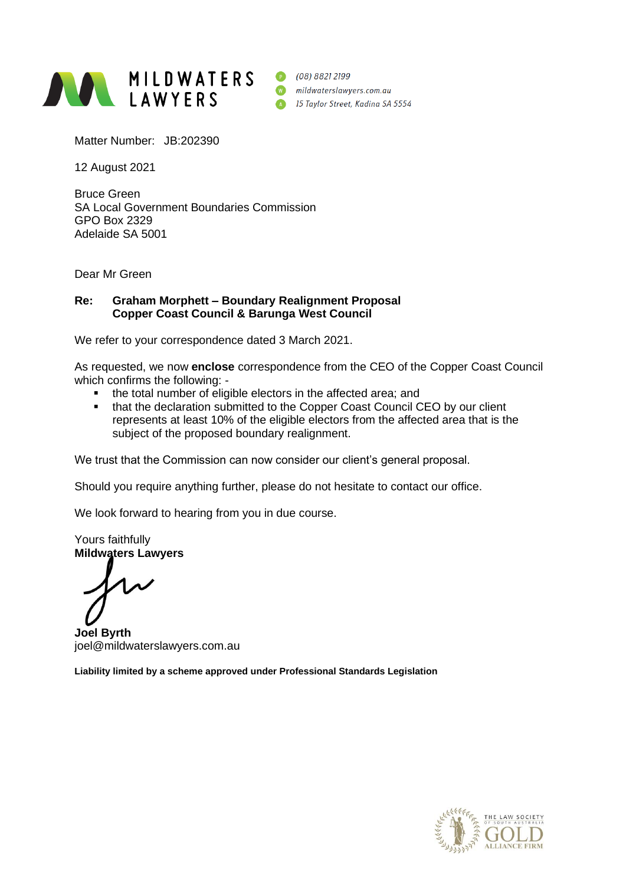

Matter Number: JB:202390

12 August 2021

Bruce Green SA Local Government Boundaries Commission GPO Box 2329 Adelaide SA 5001

Dear Mr Green

## **Re: Graham Morphett – Boundary Realignment Proposal Copper Coast Council & Barunga West Council**

We refer to your correspondence dated 3 March 2021.

As requested, we now **enclose** correspondence from the CEO of the Copper Coast Council which confirms the following: -

- the total number of eligible electors in the affected area; and
- that the declaration submitted to the Copper Coast Council CEO by our client represents at least 10% of the eligible electors from the affected area that is the subject of the proposed boundary realignment.

We trust that the Commission can now consider our client's general proposal.

Should you require anything further, please do not hesitate to contact our office.

We look forward to hearing from you in due course.

Yours faithfully **Mildwaters Lawyers**

**Joel Byrth** joel@mildwaterslawyers.com.au

**Liability limited by a scheme approved under Professional Standards Legislation**

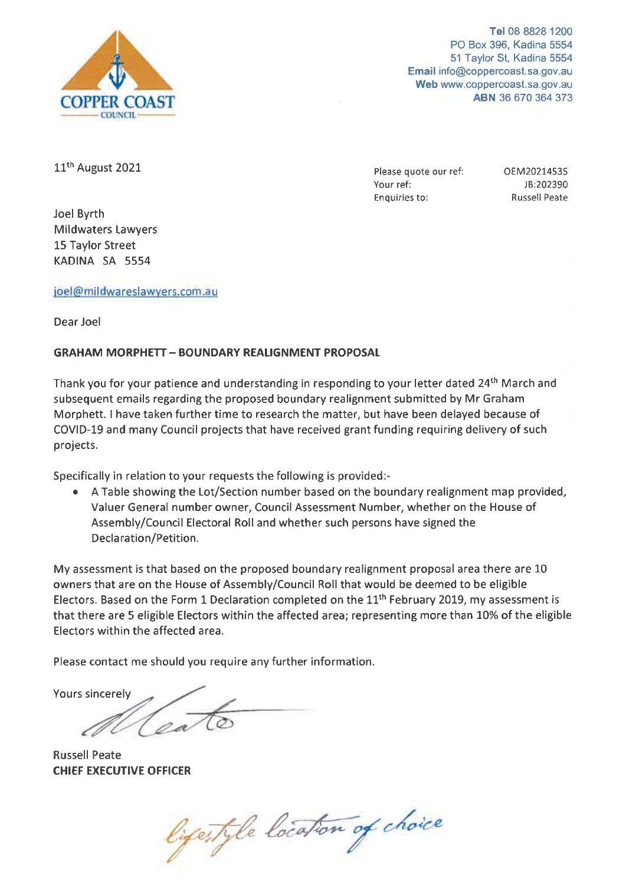

Tel 08 8828 1200 PO Box 396, Kadina 5554 51 Taylor St, Kadina 5554 Email info@coppercoast.sa.gov.au Web www.coppercoast.sa.gov.au ABN 36 670 364 373

11<sup>th</sup> August 2021

Joel Byrth **Mildwaters Lawvers** 15 Taylor Street KADINA SA 5554

Please quote our ref: Your ref: **Enquiries to:** 

OEM20214535 JB:202390 **Russell Peate** 

## joel@mildwareslawyers.com.au

Dear Joel

## **GRAHAM MORPHETT - BOUNDARY REALIGNMENT PROPOSAL**

Thank you for your patience and understanding in responding to your letter dated 24<sup>th</sup> March and subsequent emails regarding the proposed boundary realignment submitted by Mr Graham Morphett. I have taken further time to research the matter, but have been delayed because of COVID-19 and many Council projects that have received grant funding requiring delivery of such projects.

Specifically in relation to your requests the following is provided:-

 $\bullet$ A Table showing the Lot/Section number based on the boundary realignment map provided, Valuer General number owner, Council Assessment Number, whether on the House of Assembly/Council Electoral Roll and whether such persons have signed the Declaration/Petition.

My assessment is that based on the proposed boundary realignment proposal area there are 10 owners that are on the House of Assembly/Council Roll that would be deemed to be eligible Electors. Based on the Form 1 Declaration completed on the 11<sup>th</sup> February 2019, my assessment is that there are 5 eligible Electors within the affected area; representing more than 10% of the eligible Electors within the affected area.

Please contact me should you require any further information.

**Yours sincerely** 

**Russell Peate CHIEF EXECUTIVE OFFICER** 

lifestyle location of choice